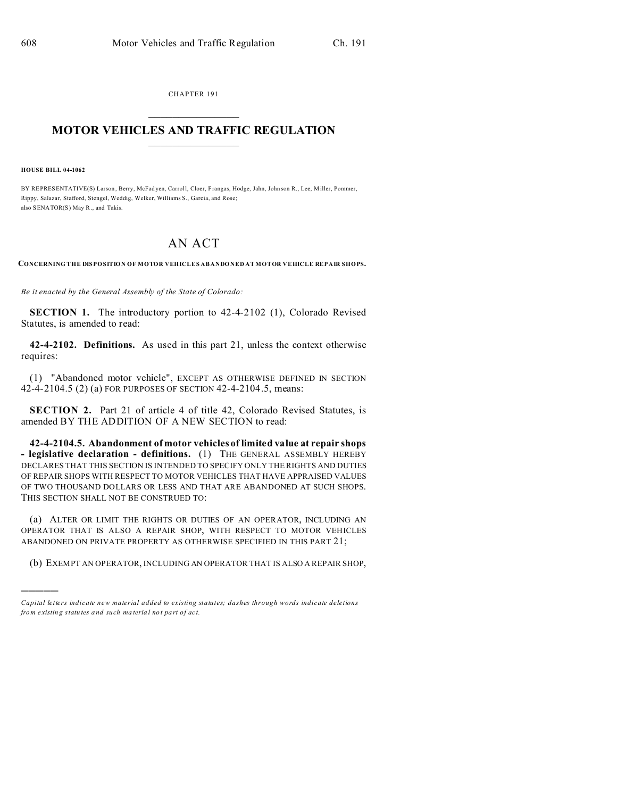CHAPTER 191  $\overline{\phantom{a}}$  , where  $\overline{\phantom{a}}$ 

## **MOTOR VEHICLES AND TRAFFIC REGULATION**  $\frac{1}{2}$  ,  $\frac{1}{2}$  ,  $\frac{1}{2}$  ,  $\frac{1}{2}$  ,  $\frac{1}{2}$  ,  $\frac{1}{2}$  ,  $\frac{1}{2}$

**HOUSE BILL 04-1062**

)))))

BY REPRESENTATIVE(S) Larson , Berry, McFad yen, Carroll, Cloer, Frangas, Hodge, Jahn, John son R., Lee, Miller, Pommer, Rippy, Salazar, Stafford, Stengel, Weddig, Welker, Williams S., Garcia, and Rose; also SENATOR(S) May R., and Takis.

## AN ACT

**CONCERNING THE DISPOSITION OF MOTOR VEHICLES ABANDONED AT MOTOR VEHICLE REPAIR SHOPS.**

*Be it enacted by the General Assembly of the State of Colorado:*

**SECTION 1.** The introductory portion to 42-4-2102 (1), Colorado Revised Statutes, is amended to read:

**42-4-2102. Definitions.** As used in this part 21, unless the context otherwise requires:

(1) "Abandoned motor vehicle", EXCEPT AS OTHERWISE DEFINED IN SECTION 42-4-2104.5 (2) (a) FOR PURPOSES OF SECTION 42-4-2104.5, means:

**SECTION 2.** Part 21 of article 4 of title 42, Colorado Revised Statutes, is amended BY THE ADDITION OF A NEW SECTION to read:

**42-4-2104.5. Abandonment of motor vehicles of limited value at repair shops - legislative declaration - definitions.** (1) THE GENERAL ASSEMBLY HEREBY DECLARES THAT THIS SECTION IS INTENDED TO SPECIFY ONLY THE RIGHTS AND DUTIES OF REPAIR SHOPS WITH RESPECT TO MOTOR VEHICLES THAT HAVE APPRAISED VALUES OF TWO THOUSAND DOLLARS OR LESS AND THAT ARE ABANDONED AT SUCH SHOPS. THIS SECTION SHALL NOT BE CONSTRUED TO:

(a) ALTER OR LIMIT THE RIGHTS OR DUTIES OF AN OPERATOR, INCLUDING AN OPERATOR THAT IS ALSO A REPAIR SHOP, WITH RESPECT TO MOTOR VEHICLES ABANDONED ON PRIVATE PROPERTY AS OTHERWISE SPECIFIED IN THIS PART 21;

(b) EXEMPT AN OPERATOR, INCLUDING AN OPERATOR THAT IS ALSO A REPAIR SHOP,

*Capital letters indicate new material added to existing statutes; dashes through words indicate deletions from e xistin g statu tes a nd such ma teria l no t pa rt of ac t.*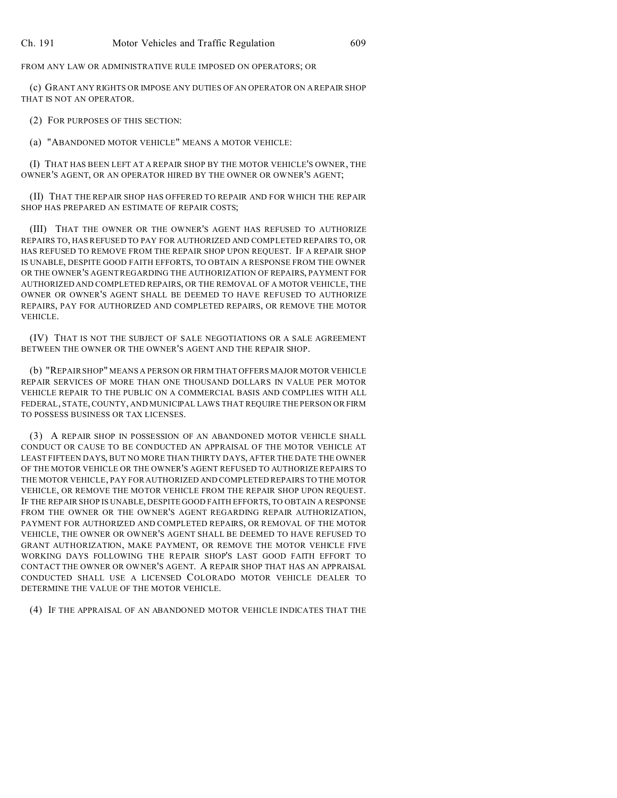FROM ANY LAW OR ADMINISTRATIVE RULE IMPOSED ON OPERATORS; OR

(c) GRANT ANY RIGHTS OR IMPOSE ANY DUTIES OF AN OPERATOR ON A REPAIR SHOP THAT IS NOT AN OPERATOR.

(2) FOR PURPOSES OF THIS SECTION:

(a) "ABANDONED MOTOR VEHICLE" MEANS A MOTOR VEHICLE:

(I) THAT HAS BEEN LEFT AT A REPAIR SHOP BY THE MOTOR VEHICLE'S OWNER, THE OWNER'S AGENT, OR AN OPERATOR HIRED BY THE OWNER OR OWNER'S AGENT;

(II) THAT THE REPAIR SHOP HAS OFFERED TO REPAIR AND FOR WHICH THE REPAIR SHOP HAS PREPARED AN ESTIMATE OF REPAIR COSTS;

(III) THAT THE OWNER OR THE OWNER'S AGENT HAS REFUSED TO AUTHORIZE REPAIRS TO, HAS REFUSED TO PAY FOR AUTHORIZED AND COMPLETED REPAIRS TO, OR HAS REFUSED TO REMOVE FROM THE REPAIR SHOP UPON REQUEST. IF A REPAIR SHOP IS UNABLE, DESPITE GOOD FAITH EFFORTS, TO OBTAIN A RESPONSE FROM THE OWNER OR THE OWNER'S AGENT REGARDING THE AUTHORIZATION OF REPAIRS, PAYMENT FOR AUTHORIZED AND COMPLETED REPAIRS, OR THE REMOVAL OF A MOTOR VEHICLE, THE OWNER OR OWNER'S AGENT SHALL BE DEEMED TO HAVE REFUSED TO AUTHORIZE REPAIRS, PAY FOR AUTHORIZED AND COMPLETED REPAIRS, OR REMOVE THE MOTOR VEHICLE.

(IV) THAT IS NOT THE SUBJECT OF SALE NEGOTIATIONS OR A SALE AGREEMENT BETWEEN THE OWNER OR THE OWNER'S AGENT AND THE REPAIR SHOP.

(b) "REPAIR SHOP" MEANS A PERSON OR FIRM THAT OFFERS MAJOR MOTOR VEHICLE REPAIR SERVICES OF MORE THAN ONE THOUSAND DOLLARS IN VALUE PER MOTOR VEHICLE REPAIR TO THE PUBLIC ON A COMMERCIAL BASIS AND COMPLIES WITH ALL FEDERAL, STATE, COUNTY, AND MUNICIPAL LAWS THAT REQUIRE THE PERSON OR FIRM TO POSSESS BUSINESS OR TAX LICENSES.

(3) A REPAIR SHOP IN POSSESSION OF AN ABANDONED MOTOR VEHICLE SHALL CONDUCT OR CAUSE TO BE CONDUCTED AN APPRAISAL OF THE MOTOR VEHICLE AT LEAST FIFTEEN DAYS, BUT NO MORE THAN THIRTY DAYS, AFTER THE DATE THE OWNER OF THE MOTOR VEHICLE OR THE OWNER'S AGENT REFUSED TO AUTHORIZE REPAIRS TO THE MOTOR VEHICLE, PAY FOR AUTHORIZED AND COMPLETED REPAIRS TO THE MOTOR VEHICLE, OR REMOVE THE MOTOR VEHICLE FROM THE REPAIR SHOP UPON REQUEST. IF THE REPAIR SHOP IS UNABLE, DESPITE GOOD FAITH EFFORTS, TO OBTAIN A RESPONSE FROM THE OWNER OR THE OWNER'S AGENT REGARDING REPAIR AUTHORIZATION, PAYMENT FOR AUTHORIZED AND COMPLETED REPAIRS, OR REMOVAL OF THE MOTOR VEHICLE, THE OWNER OR OWNER'S AGENT SHALL BE DEEMED TO HAVE REFUSED TO GRANT AUTHORIZATION, MAKE PAYMENT, OR REMOVE THE MOTOR VEHICLE FIVE WORKING DAYS FOLLOWING THE REPAIR SHOP'S LAST GOOD FAITH EFFORT TO CONTACT THE OWNER OR OWNER'S AGENT. A REPAIR SHOP THAT HAS AN APPRAISAL CONDUCTED SHALL USE A LICENSED COLORADO MOTOR VEHICLE DEALER TO DETERMINE THE VALUE OF THE MOTOR VEHICLE.

(4) IF THE APPRAISAL OF AN ABANDONED MOTOR VEHICLE INDICATES THAT THE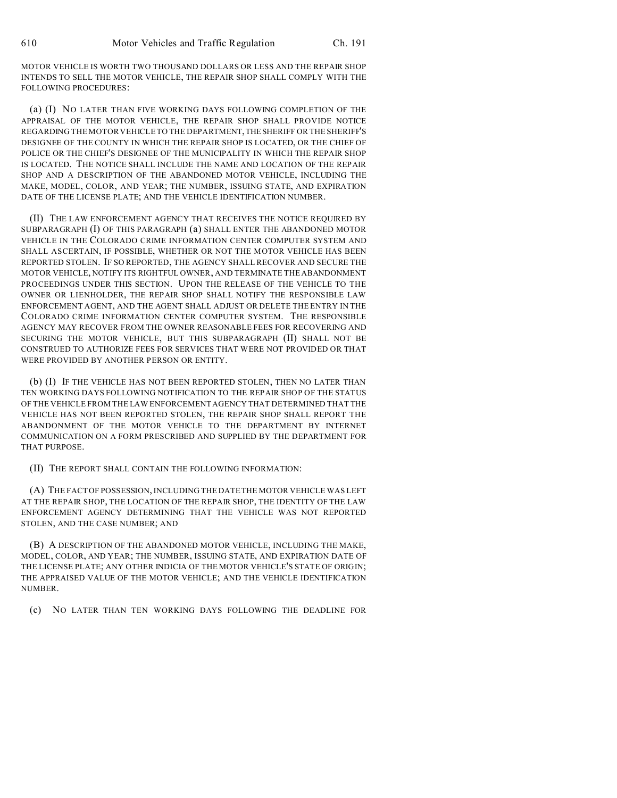MOTOR VEHICLE IS WORTH TWO THOUSAND DOLLARS OR LESS AND THE REPAIR SHOP INTENDS TO SELL THE MOTOR VEHICLE, THE REPAIR SHOP SHALL COMPLY WITH THE FOLLOWING PROCEDURES:

(a) (I) NO LATER THAN FIVE WORKING DAYS FOLLOWING COMPLETION OF THE APPRAISAL OF THE MOTOR VEHICLE, THE REPAIR SHOP SHALL PROVIDE NOTICE REGARDING THE MOTOR VEHICLE TO THE DEPARTMENT,THESHERIFF OR THE SHERIFF'S DESIGNEE OF THE COUNTY IN WHICH THE REPAIR SHOP IS LOCATED, OR THE CHIEF OF POLICE OR THE CHIEF'S DESIGNEE OF THE MUNICIPALITY IN WHICH THE REPAIR SHOP IS LOCATED. THE NOTICE SHALL INCLUDE THE NAME AND LOCATION OF THE REPAIR SHOP AND A DESCRIPTION OF THE ABANDONED MOTOR VEHICLE, INCLUDING THE MAKE, MODEL, COLOR, AND YEAR; THE NUMBER, ISSUING STATE, AND EXPIRATION DATE OF THE LICENSE PLATE; AND THE VEHICLE IDENTIFICATION NUMBER.

(II) THE LAW ENFORCEMENT AGENCY THAT RECEIVES THE NOTICE REQUIRED BY SUBPARAGRAPH (I) OF THIS PARAGRAPH (a) SHALL ENTER THE ABANDONED MOTOR VEHICLE IN THE COLORADO CRIME INFORMATION CENTER COMPUTER SYSTEM AND SHALL ASCERTAIN, IF POSSIBLE, WHETHER OR NOT THE MOTOR VEHICLE HAS BEEN REPORTED STOLEN. IF SO REPORTED, THE AGENCY SHALL RECOVER AND SECURE THE MOTOR VEHICLE, NOTIFY ITS RIGHTFUL OWNER, AND TERMINATE THE ABANDONMENT PROCEEDINGS UNDER THIS SECTION. UPON THE RELEASE OF THE VEHICLE TO THE OWNER OR LIENHOLDER, THE REPAIR SHOP SHALL NOTIFY THE RESPONSIBLE LAW ENFORCEMENT AGENT, AND THE AGENT SHALL ADJUST OR DELETE THE ENTRY IN THE COLORADO CRIME INFORMATION CENTER COMPUTER SYSTEM. THE RESPONSIBLE AGENCY MAY RECOVER FROM THE OWNER REASONABLE FEES FOR RECOVERING AND SECURING THE MOTOR VEHICLE, BUT THIS SUBPARAGRAPH (II) SHALL NOT BE CONSTRUED TO AUTHORIZE FEES FOR SERVICES THAT WERE NOT PROVIDED OR THAT WERE PROVIDED BY ANOTHER PERSON OR ENTITY.

(b) (I) IF THE VEHICLE HAS NOT BEEN REPORTED STOLEN, THEN NO LATER THAN TEN WORKING DAYS FOLLOWING NOTIFICATION TO THE REPAIR SHOP OF THE STATUS OF THE VEHICLE FROM THE LAW ENFORCEMENT AGENCY THAT DETERMINED THAT THE VEHICLE HAS NOT BEEN REPORTED STOLEN, THE REPAIR SHOP SHALL REPORT THE ABANDONMENT OF THE MOTOR VEHICLE TO THE DEPARTMENT BY INTERNET COMMUNICATION ON A FORM PRESCRIBED AND SUPPLIED BY THE DEPARTMENT FOR THAT PURPOSE.

(II) THE REPORT SHALL CONTAIN THE FOLLOWING INFORMATION:

(A) THE FACT OF POSSESSION, INCLUDING THE DATE THE MOTOR VEHICLE WAS LEFT AT THE REPAIR SHOP, THE LOCATION OF THE REPAIR SHOP, THE IDENTITY OF THE LAW ENFORCEMENT AGENCY DETERMINING THAT THE VEHICLE WAS NOT REPORTED STOLEN, AND THE CASE NUMBER; AND

(B) A DESCRIPTION OF THE ABANDONED MOTOR VEHICLE, INCLUDING THE MAKE, MODEL, COLOR, AND YEAR; THE NUMBER, ISSUING STATE, AND EXPIRATION DATE OF THE LICENSE PLATE; ANY OTHER INDICIA OF THE MOTOR VEHICLE'S STATE OF ORIGIN; THE APPRAISED VALUE OF THE MOTOR VEHICLE; AND THE VEHICLE IDENTIFICATION NUMBER.

(c) NO LATER THAN TEN WORKING DAYS FOLLOWING THE DEADLINE FOR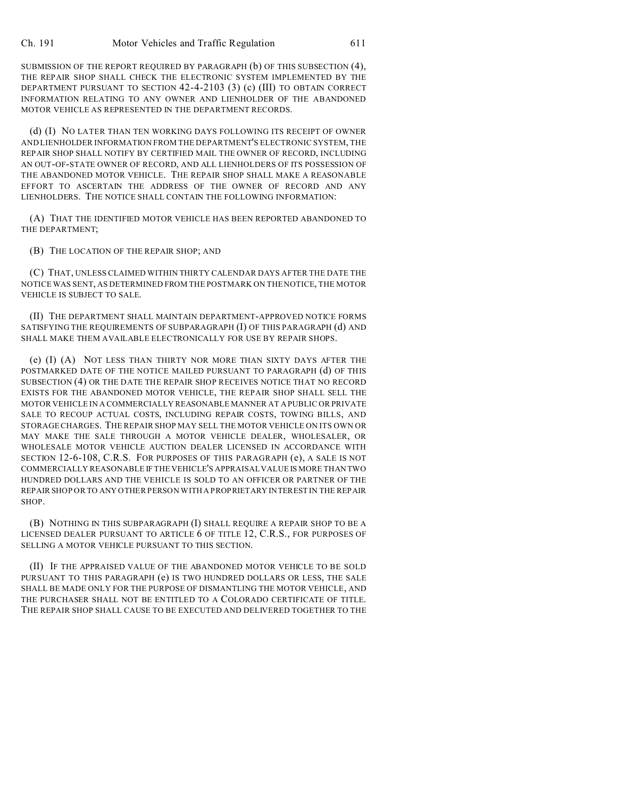SUBMISSION OF THE REPORT REQUIRED BY PARAGRAPH (b) OF THIS SUBSECTION (4), THE REPAIR SHOP SHALL CHECK THE ELECTRONIC SYSTEM IMPLEMENTED BY THE DEPARTMENT PURSUANT TO SECTION 42-4-2103 (3) (c) (III) TO OBTAIN CORRECT INFORMATION RELATING TO ANY OWNER AND LIENHOLDER OF THE ABANDONED MOTOR VEHICLE AS REPRESENTED IN THE DEPARTMENT RECORDS.

(d) (I) NO LATER THAN TEN WORKING DAYS FOLLOWING ITS RECEIPT OF OWNER AND LIENHOLDER INFORMATION FROM THE DEPARTMENT'S ELECTRONIC SYSTEM, THE REPAIR SHOP SHALL NOTIFY BY CERTIFIED MAIL THE OWNER OF RECORD, INCLUDING AN OUT-OF-STATE OWNER OF RECORD, AND ALL LIENHOLDERS OF ITS POSSESSION OF THE ABANDONED MOTOR VEHICLE. THE REPAIR SHOP SHALL MAKE A REASONABLE EFFORT TO ASCERTAIN THE ADDRESS OF THE OWNER OF RECORD AND ANY LIENHOLDERS. THE NOTICE SHALL CONTAIN THE FOLLOWING INFORMATION:

(A) THAT THE IDENTIFIED MOTOR VEHICLE HAS BEEN REPORTED ABANDONED TO THE DEPARTMENT;

(B) THE LOCATION OF THE REPAIR SHOP; AND

(C) THAT, UNLESS CLAIMED WITHIN THIRTY CALENDAR DAYS AFTER THE DATE THE NOTICE WAS SENT, AS DETERMINED FROM THE POSTMARK ON THE NOTICE, THE MOTOR VEHICLE IS SUBJECT TO SALE.

(II) THE DEPARTMENT SHALL MAINTAIN DEPARTMENT-APPROVED NOTICE FORMS SATISFYING THE REQUIREMENTS OF SUBPARAGRAPH (I) OF THIS PARAGRAPH (d) AND SHALL MAKE THEM AVAILABLE ELECTRONICALLY FOR USE BY REPAIR SHOPS.

(e) (I) (A) NOT LESS THAN THIRTY NOR MORE THAN SIXTY DAYS AFTER THE POSTMARKED DATE OF THE NOTICE MAILED PURSUANT TO PARAGRAPH (d) OF THIS SUBSECTION (4) OR THE DATE THE REPAIR SHOP RECEIVES NOTICE THAT NO RECORD EXISTS FOR THE ABANDONED MOTOR VEHICLE, THE REPAIR SHOP SHALL SELL THE MOTOR VEHICLE IN A COMMERCIALLY REASONABLE MANNER AT A PUBLIC OR PRIVATE SALE TO RECOUP ACTUAL COSTS, INCLUDING REPAIR COSTS, TOWING BILLS, AND STORAGE CHARGES. THE REPAIR SHOP MAY SELL THE MOTOR VEHICLE ON ITS OWN OR MAY MAKE THE SALE THROUGH A MOTOR VEHICLE DEALER, WHOLESALER, OR WHOLESALE MOTOR VEHICLE AUCTION DEALER LICENSED IN ACCORDANCE WITH SECTION 12-6-108, C.R.S. FOR PURPOSES OF THIS PARAGRAPH (e), A SALE IS NOT COMMERCIALLY REASONABLE IF THE VEHICLE'S APPRAISAL VALUE IS MORE THAN TWO HUNDRED DOLLARS AND THE VEHICLE IS SOLD TO AN OFFICER OR PARTNER OF THE REPAIR SHOP OR TO ANY OTHER PERSON WITH A PROPRIETARY INTEREST IN THE REPAIR SHOP.

(B) NOTHING IN THIS SUBPARAGRAPH (I) SHALL REQUIRE A REPAIR SHOP TO BE A LICENSED DEALER PURSUANT TO ARTICLE 6 OF TITLE 12, C.R.S., FOR PURPOSES OF SELLING A MOTOR VEHICLE PURSUANT TO THIS SECTION.

(II) IF THE APPRAISED VALUE OF THE ABANDONED MOTOR VEHICLE TO BE SOLD PURSUANT TO THIS PARAGRAPH (e) IS TWO HUNDRED DOLLARS OR LESS, THE SALE SHALL BE MADE ONLY FOR THE PURPOSE OF DISMANTLING THE MOTOR VEHICLE, AND THE PURCHASER SHALL NOT BE ENTITLED TO A COLORADO CERTIFICATE OF TITLE. THE REPAIR SHOP SHALL CAUSE TO BE EXECUTED AND DELIVERED TOGETHER TO THE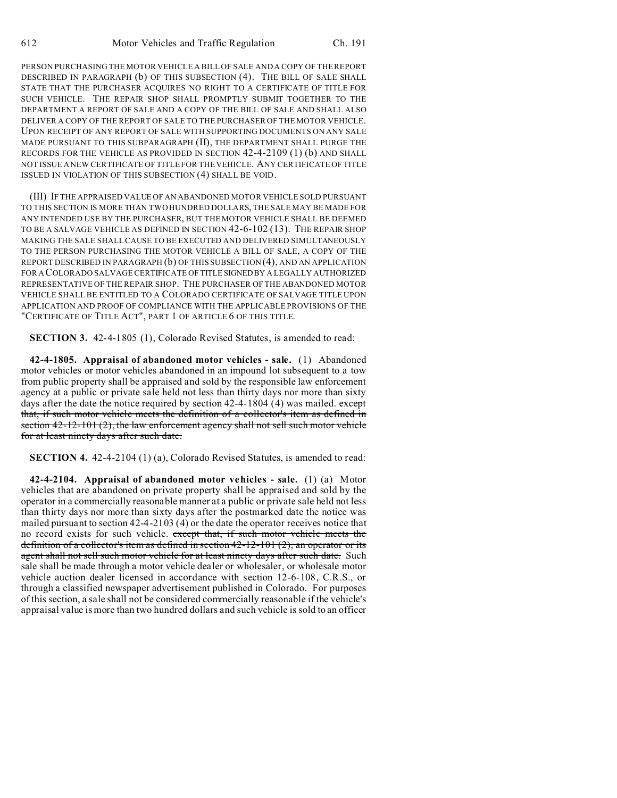PERSON PURCHASING THE MOTOR VEHICLE A BILL OF SALE AND A COPY OF THE REPORT DESCRIBED IN PARAGRAPH (b) OF THIS SUBSECTION (4). THE BILL OF SALE SHALL STATE THAT THE PURCHASER ACQUIRES NO RIGHT TO A CERTIFICATE OF TITLE FOR SUCH VEHICLE. THE REPAIR SHOP SHALL PROMPTLY SUBMIT TOGETHER TO THE DEPARTMENT A REPORT OF SALE AND A COPY OF THE BILL OF SALE AND SHALL ALSO DELIVER A COPY OF THE REPORT OF SALE TO THE PURCHASER OF THE MOTOR VEHICLE. UPON RECEIPT OF ANY REPORT OF SALE WITH SUPPORTING DOCUMENTS ON ANY SALE MADE PURSUANT TO THIS SUBPARAGRAPH (II), THE DEPARTMENT SHALL PURGE THE RECORDS FOR THE VEHICLE AS PROVIDED IN SECTION 42-4-2109 (1) (b) AND SHALL NOT ISSUE A NEW CERTIFICATE OF TITLE FOR THE VEHICLE. ANY CERTIFICATE OF TITLE ISSUED IN VIOLATION OF THIS SUBSECTION (4) SHALL BE VOID.

(III) IF THE APPRAISED VALUE OF AN ABANDONED MOTOR VEHICLE SOLD PURSUANT TO THIS SECTION IS MORE THAN TWO HUNDRED DOLLARS, THE SALE MAY BE MADE FOR ANY INTENDED USE BY THE PURCHASER, BUT THE MOTOR VEHICLE SHALL BE DEEMED TO BE A SALVAGE VEHICLE AS DEFINED IN SECTION 42-6-102 (13). THE REPAIR SHOP MAKING THE SALE SHALL CAUSE TO BE EXECUTED AND DELIVERED SIMULTANEOUSLY TO THE PERSON PURCHASING THE MOTOR VEHICLE A BILL OF SALE, A COPY OF THE REPORT DESCRIBED IN PARAGRAPH (b) OF THIS SUBSECTION (4), AND AN APPLICATION FOR A COLORADO SALVAGE CERTIFICATE OF TITLE SIGNEDBY A LEGALLY AUTHORIZED REPRESENTATIVE OF THE REPAIR SHOP. THE PURCHASER OF THE ABANDONED MOTOR VEHICLE SHALL BE ENTITLED TO A COLORADO CERTIFICATE OF SALVAGE TITLE UPON APPLICATION AND PROOF OF COMPLIANCE WITH THE APPLICABLE PROVISIONS OF THE "CERTIFICATE OF TITLE ACT", PART 1 OF ARTICLE 6 OF THIS TITLE.

**SECTION 3.** 42-4-1805 (1), Colorado Revised Statutes, is amended to read:

**42-4-1805. Appraisal of abandoned motor vehicles - sale.** (1) Abandoned motor vehicles or motor vehicles abandoned in an impound lot subsequent to a tow from public property shall be appraised and sold by the responsible law enforcement agency at a public or private sale held not less than thirty days nor more than sixty days after the date the notice required by section  $42-4-1804$  (4) was mailed. except that, if such motor vehicle meets the definition of a collector's item as defined in section 42-12-101 (2), the law enforcement agency shall not sell such motor vehicle for at least ninety days after such date.

**SECTION 4.** 42-4-2104 (1) (a), Colorado Revised Statutes, is amended to read:

**42-4-2104. Appraisal of abandoned motor vehicles - sale.** (1) (a) Motor vehicles that are abandoned on private property shall be appraised and sold by the operator in a commercially reasonable manner at a public or private sale held not less than thirty days nor more than sixty days after the postmarked date the notice was mailed pursuant to section 42-4-2103 (4) or the date the operator receives notice that no record exists for such vehicle. except that, if such motor vehicle meets the definition of a collector's item as defined in section  $42-12-101$  (2), an operator or its agent shall not sell such motor vehicle for at least ninety days after such date. Such sale shall be made through a motor vehicle dealer or wholesaler, or wholesale motor vehicle auction dealer licensed in accordance with section 12-6-108, C.R.S., or through a classified newspaper advertisement published in Colorado. For purposes of this section, a sale shall not be considered commercially reasonable if the vehicle's appraisal value is more than two hundred dollars and such vehicle is sold to an officer